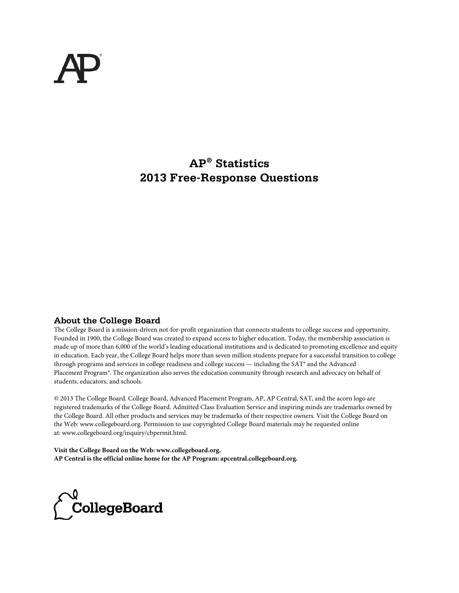# **AP® Statistics 2013 Free-Response Questions**

#### **About the College Board**

The College Board is a mission-driven not-for-profit organization that connects students to college success and opportunity. Founded in 1900, the College Board was created to expand access to higher education. Today, the membership association is made up of more than 6,000 of the world's leading educational institutions and is dedicated to promoting excellence and equity in education. Each year, the College Board helps more than seven million students prepare for a successful transition to college through programs and services in college readiness and college success — including the SAT® and the Advanced Placement Program®. The organization also serves the education community through research and advocacy on behalf of students, educators, and schools.

© 2013 The College Board. College Board, Advanced Placement Program, AP, AP Central, SAT, and the acorn logo are registered trademarks of the College Board. Admitted Class Evaluation Service and inspiring minds are trademarks owned by the College Board. All other products and services may be trademarks of their respective owners. Visit the College Board on the Web: www.collegeboard.org. Permission to use copyrighted College Board materials may be requested online at: www.collegeboard.org/inquiry/cbpermit.html.

**Visit the College Board on the Web: www.collegeboard.org. AP Central is the official online home for the AP Program: apcentral.collegeboard.org.**

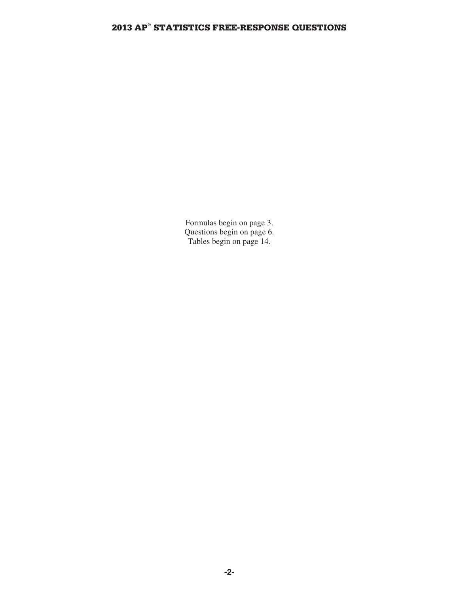Formulas begin on page 3. Questions begin on page 6. Tables begin on page 14.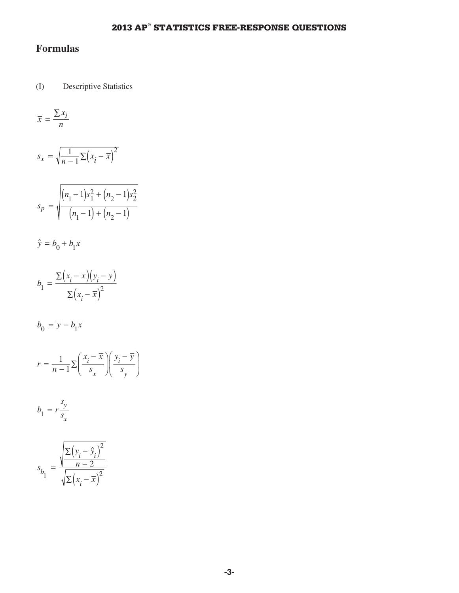# **Formulas**

(I) Descriptive Statistics

$$
\overline{x} = \frac{\sum x_i}{n}
$$

$$
s_x = \sqrt{\frac{1}{n-1} \sum (x_i - \overline{x})^2}
$$

$$
s_p = \sqrt{\frac{(n_1 - 1)s_1^2 + (n_2 - 1)s_2^2}{(n_1 - 1) + (n_2 - 1)}}
$$

$$
\hat{y} = b_0 + b_1 x
$$

$$
b_1 = \frac{\Sigma (x_i - \overline{x})(y_i - \overline{y})}{\Sigma (x_i - \overline{x})^2}
$$

 $b_0 = \overline{y} - b_1 \overline{x}$ 

$$
r = \frac{1}{n-1} \sum \left( \frac{x_i - \overline{x}}{s_x} \right) \left( \frac{y_i - \overline{y}}{s_y} \right)
$$

$$
b_1 = r \frac{s_y}{s_x}
$$

$$
s_{b_1} = \frac{\sqrt{\frac{\sum (y_i - \hat{y}_i)^2}{n - 2}}}{\sqrt{\sum (x_i - \bar{x})^2}}
$$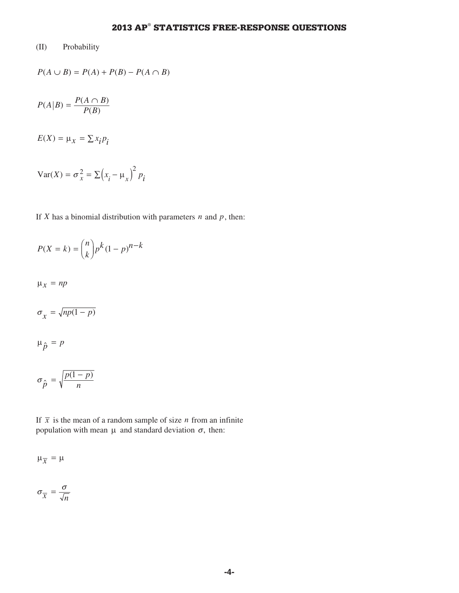#### (II) Probability

$$
P(A \cup B) = P(A) + P(B) - P(A \cap B)
$$

$$
P(A|B) = \frac{P(A \cap B)}{P(B)}
$$

 $E(X) = \mu_X = \sum x_i p_i$ 

$$
Var(X) = \sigma_x^2 = \sum (x_i - \mu_x)^2 p_i
$$

If *X* has a binomial distribution with parameters  $n$  and  $p$ , then:

$$
P(X = k) = \binom{n}{k} p^k (1 - p)^{n - k}
$$

 $\mu_x = np$ 

$$
\sigma_{\chi} = \sqrt{np(1-p)}
$$

$$
\mu_{\hat{p}}=p
$$

$$
\sigma_{\hat{p}} = \sqrt{\frac{p(1-p)}{n}}
$$

If  $\bar{x}$  is the mean of a random sample of size *n* from an infinite population with mean  $\mu$  and standard deviation  $\sigma$ , then:

 $\mu_{\overline{x}} = \mu$ 

$$
\sigma_{\overline{x}} = \frac{\sigma}{\sqrt{n}}
$$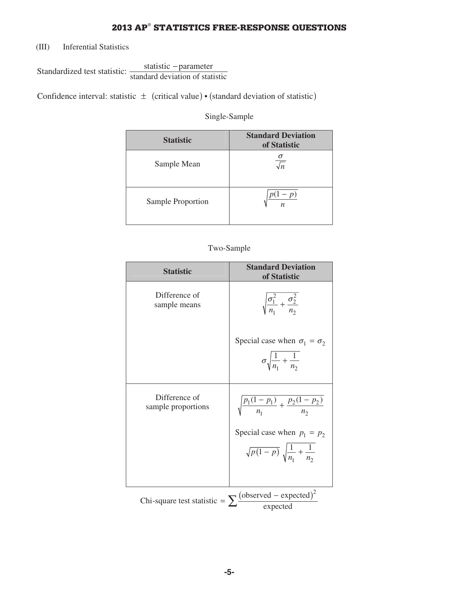(III) Inferential Statistics

Standardized test statistic:  $\frac{\text{statistic -parameter}}{\text{standard deviation of statistic}}$ 

Confidence interval: statistic  $\pm$  (critical value) • (standard deviation of statistic)

#### Single-Sample

| <b>Statistic</b>  | <b>Standard Deviation</b><br>of Statistic |
|-------------------|-------------------------------------------|
| Sample Mean       | σ<br>$\sqrt{n}$                           |
| Sample Proportion | p)<br>$\boldsymbol{n}$                    |

#### Two-Sample

| <b>Statistic</b>                    | <b>Standard Deviation</b><br>of Statistic                                                |
|-------------------------------------|------------------------------------------------------------------------------------------|
| Difference of<br>sample means       | $\sqrt{\frac{\sigma_1^2}{n_1} + \frac{\sigma_2^2}{n_2}}$                                 |
|                                     | Special case when $\sigma_1 = \sigma_2$<br>$\sigma \sqrt{\frac{1}{n_1} + \frac{1}{n_2}}$ |
| Difference of<br>sample proportions | $\sqrt{\frac{p_1(1-p_1)}{n_1} + \frac{p_2(1-p_2)}{n_2}}$                                 |
|                                     | Special case when $p_1 = p_2$                                                            |
|                                     | $\sqrt{p(1-p)}\sqrt{\frac{1}{n_1}+\frac{1}{n_2}}$                                        |
|                                     |                                                                                          |
| Chi-square test statistic = $\sum$  | $\frac{\text{(observed - expected)}^2}{\text{expected}}$                                 |
|                                     |                                                                                          |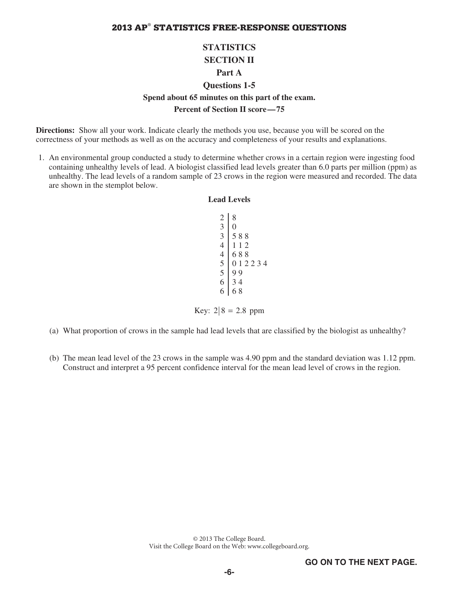### **STATISTICS SECTION II Part A**

### **Questions 1-5 Spend about 65 minutes on this part of the exam.**

#### **Percent of Section II score—75**

**Directions:** Show all your work. Indicate clearly the methods you use, because you will be scored on the correctness of your methods as well as on the accuracy and completeness of your results and explanations.

 1. An environmental group conducted a study to determine whether crows in a certain region were ingesting food containing unhealthy levels of lead. A biologist classified lead levels greater than 6.0 parts per million (ppm) as unhealthy. The lead levels of a random sample of 23 crows in the region were measured and recorded. The data are shown in the stemplot below.

# **Lead Levels**

| $\overline{c}$<br>3<br>3<br>$\overline{4}$<br>4 | 8<br>N<br>588<br>12<br>1<br>688 |
|-------------------------------------------------|---------------------------------|
| 5<br>$\overline{5}$<br>6                        | 0 1 2 2 3 4<br>99<br>34         |
| 6                                               | 68                              |

Key:  $2/8 = 2.8$  ppm

- (a) What proportion of crows in the sample had lead levels that are classified by the biologist as unhealthy?
- (b) The mean lead level of the 23 crows in the sample was 4.90 ppm and the standard deviation was 1.12 ppm. Construct and interpret a 95 percent confidence interval for the mean lead level of crows in the region.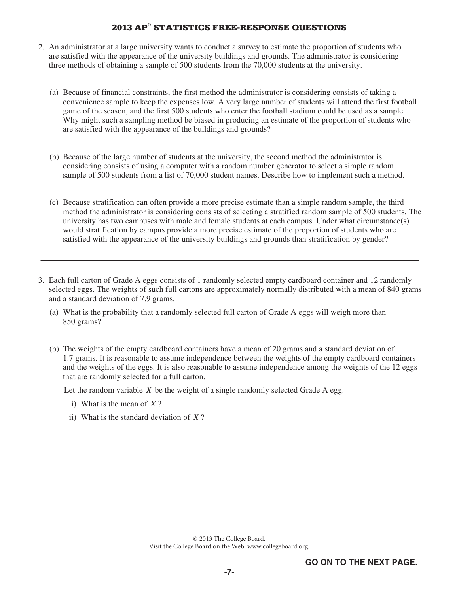- 2. An administrator at a large university wants to conduct a survey to estimate the proportion of students who are satisfied with the appearance of the university buildings and grounds. The administrator is considering three methods of obtaining a sample of 500 students from the 70,000 students at the university.
	- (a) Because of financial constraints, the first method the administrator is considering consists of taking a convenience sample to keep the expenses low. A very large number of students will attend the first football game of the season, and the first 500 students who enter the football stadium could be used as a sample. Why might such a sampling method be biased in producing an estimate of the proportion of students who are satisfied with the appearance of the buildings and grounds?
	- (b) Because of the large number of students at the university, the second method the administrator is considering consists of using a computer with a random number generator to select a simple random sample of 500 students from a list of 70,000 student names. Describe how to implement such a method.
	- (c) Because stratification can often provide a more precise estimate than a simple random sample, the third method the administrator is considering consists of selecting a stratified random sample of 500 students. The university has two campuses with male and female students at each campus. Under what circumstance(s) would stratification by campus provide a more precise estimate of the proportion of students who are satisfied with the appearance of the university buildings and grounds than stratification by gender?
- 3. Each full carton of Grade A eggs consists of 1 randomly selected empty cardboard container and 12 randomly selected eggs. The weights of such full cartons are approximately normally distributed with a mean of 840 grams and a standard deviation of 7.9 grams.
	- (a) What is the probability that a randomly selected full carton of Grade A eggs will weigh more than 850 grams?
	- (b) The weights of the empty cardboard containers have a mean of 20 grams and a standard deviation of 1.7 grams. It is reasonable to assume independence between the weights of the empty cardboard containers and the weights of the eggs. It is also reasonable to assume independence among the weights of the 12 eggs that are randomly selected for a full carton.

Let the random variable *X* be the weight of a single randomly selected Grade A egg.

- i) What is the mean of *X* ?
- ii) What is the standard deviation of *X* ?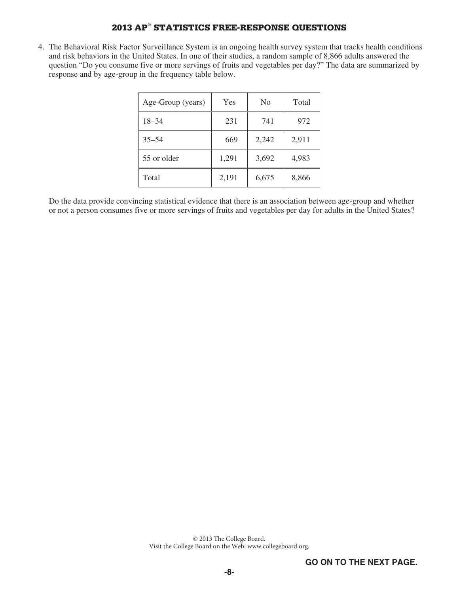4. The Behavioral Risk Factor Surveillance System is an ongoing health survey system that tracks health conditions and risk behaviors in the United States. In one of their studies, a random sample of 8,866 adults answered the question "Do you consume five or more servings of fruits and vegetables per day?" The data are summarized by response and by age-group in the frequency table below.

| Age-Group (years) | Yes   | N <sub>0</sub> | Total |
|-------------------|-------|----------------|-------|
| $18 - 34$         | 231   | 741            | 972   |
| $35 - 54$         | 669   | 2,242          | 2,911 |
| 55 or older       | 1,291 | 3,692          | 4,983 |
| Total             | 2,191 | 6,675          | 8,866 |

 Do the data provide convincing statistical evidence that there is an association between age-group and whether or not a person consumes five or more servings of fruits and vegetables per day for adults in the United States?

> © 2013 The College Board. Visit the College Board on the Web: www.collegeboard.org.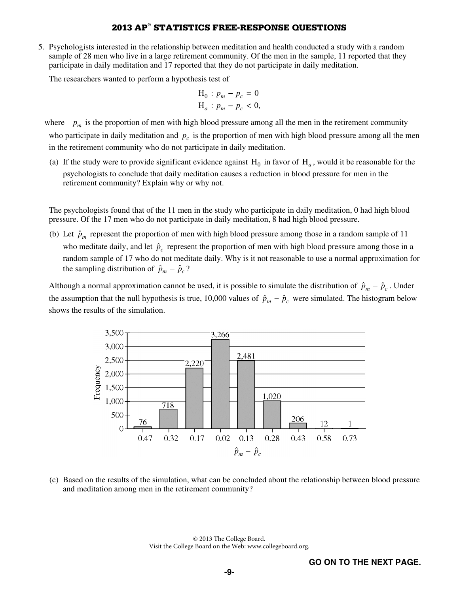5. Psychologists interested in the relationship between meditation and health conducted a study with a random sample of 28 men who live in a large retirement community. Of the men in the sample, 11 reported that they participate in daily meditation and 17 reported that they do not participate in daily meditation.

The researchers wanted to perform a hypothesis test of

$$
H_0: p_m - p_c = 0
$$
  

$$
H_a: p_m - p_c < 0,
$$

where  $p_m$  is the proportion of men with high blood pressure among all the men in the retirement community who participate in daily meditation and  $p_c$  is the proportion of men with high blood pressure among all the men in the retirement community who do not participate in daily meditation.

(a) If the study were to provide significant evidence against  $H_0$  in favor of  $H_a$ , would it be reasonable for the psychologists to conclude that daily meditation causes a reduction in blood pressure for men in the retirement community? Explain why or why not.

 The psychologists found that of the 11 men in the study who participate in daily meditation, 0 had high blood pressure. Of the 17 men who do not participate in daily meditation, 8 had high blood pressure.

(b) Let  $\hat{p}_m$  represent the proportion of men with high blood pressure among those in a random sample of 11 who meditate daily, and let  $\hat{p}_c$  represent the proportion of men with high blood pressure among those in a random sample of 17 who do not meditate daily. Why is it not reasonable to use a normal approximation for the sampling distribution of  $\hat{p}_m - \hat{p}_c$ ?

Although a normal approximation cannot be used, it is possible to simulate the distribution of  $\hat{p}_m - \hat{p}_c$ . Under the assumption that the null hypothesis is true, 10,000 values of  $\hat{p}_m - \hat{p}_c$  were simulated. The histogram below shows the results of the simulation.



(c) Based on the results of the simulation, what can be concluded about the relationship between blood pressure and meditation among men in the retirement community?

> © 2013 The College Board. Visit the College Board on the Web: www.collegeboard.org.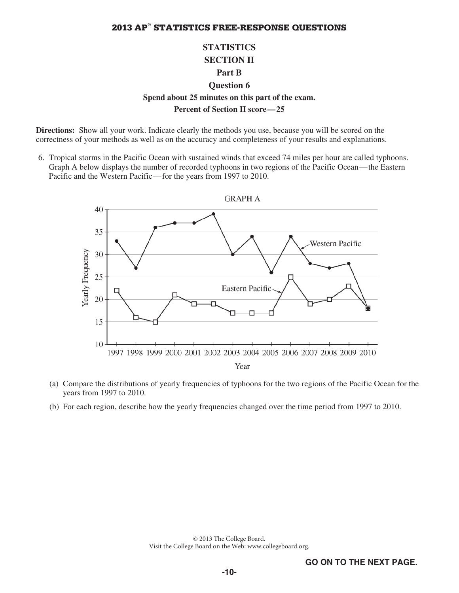## **STATISTICS SECTION II Part B Question 6 Spend about 25 minutes on this part of the exam. Percent of Section II score—25**

**Directions:** Show all your work. Indicate clearly the methods you use, because you will be scored on the correctness of your methods as well as on the accuracy and completeness of your results and explanations.

 6. Tropical storms in the Pacific Ocean with sustained winds that exceed 74 miles per hour are called typhoons. Graph A below displays the number of recorded typhoons in two regions of the Pacific Ocean—the Eastern Pacific and the Western Pacific—for the years from 1997 to 2010.



- (a) Compare the distributions of yearly frequencies of typhoons for the two regions of the Pacific Ocean for the years from 1997 to 2010.
- (b) For each region, describe how the yearly frequencies changed over the time period from 1997 to 2010.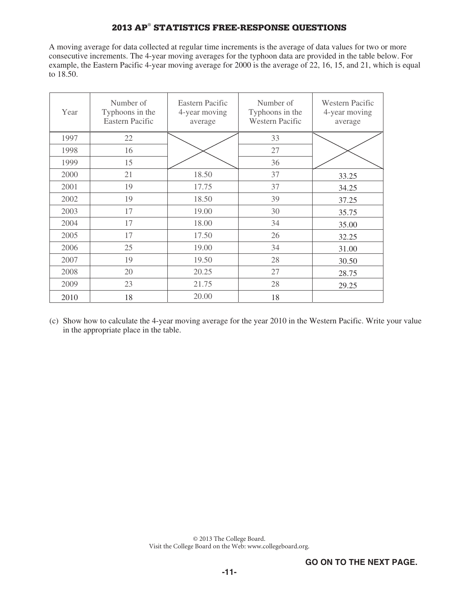A moving average for data collected at regular time increments is the average of data values for two or more consecutive increments. The 4-year moving averages for the typhoon data are provided in the table below. For example, the Eastern Pacific 4-year moving average for 2000 is the average of 22, 16, 15, and 21, which is equal to 18.50.

| Year | Number of<br>Typhoons in the<br><b>Eastern Pacific</b> | Eastern Pacific<br>4-year moving<br>average | Number of<br>Typhoons in the<br><b>Western Pacific</b> | <b>Western Pacific</b><br>4-year moving<br>average |
|------|--------------------------------------------------------|---------------------------------------------|--------------------------------------------------------|----------------------------------------------------|
| 1997 | 22                                                     |                                             | 33                                                     |                                                    |
| 1998 | 16                                                     |                                             | 27                                                     |                                                    |
| 1999 | 15                                                     |                                             | 36                                                     |                                                    |
| 2000 | 21                                                     | 18.50                                       | 37                                                     | 33.25                                              |
| 2001 | 19                                                     | 17.75                                       | 37                                                     | 34.25                                              |
| 2002 | 19                                                     | 18.50                                       | 39                                                     | 37.25                                              |
| 2003 | 17                                                     | 19.00                                       | 30                                                     | 35.75                                              |
| 2004 | 17                                                     | 18.00                                       | 34                                                     | 35.00                                              |
| 2005 | 17                                                     | 17.50                                       | 26                                                     | 32.25                                              |
| 2006 | 25                                                     | 19.00                                       | 34                                                     | 31.00                                              |
| 2007 | 19                                                     | 19.50                                       | 28                                                     | 30.50                                              |
| 2008 | 20                                                     | 20.25                                       | 27                                                     | 28.75                                              |
| 2009 | 23                                                     | 21.75                                       | 28                                                     | 29.25                                              |
| 2010 | 18                                                     | 20.00                                       | 18                                                     |                                                    |

(c) Show how to calculate the 4-year moving average for the year 2010 in the Western Pacific. Write your value in the appropriate place in the table.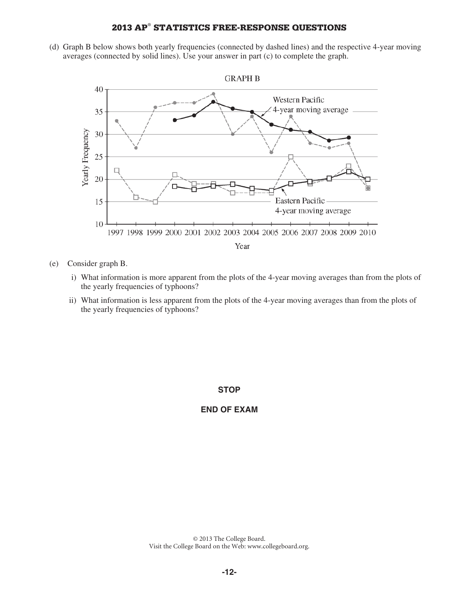(d) Graph B below shows both yearly frequencies (connected by dashed lines) and the respective 4-year moving averages (connected by solid lines). Use your answer in part (c) to complete the graph.



- (e) Consider graph B.
	- i) What information is more apparent from the plots of the 4-year moving averages than from the plots of the yearly frequencies of typhoons?
	- ii) What information is less apparent from the plots of the 4-year moving averages than from the plots of the yearly frequencies of typhoons?

#### **STOP**

#### **END OF EXAM**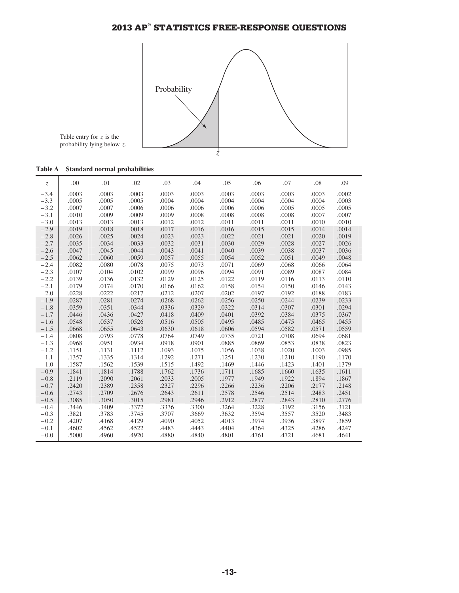

Table entry for *z* is the probability lying below *z*.

| Table A |  | <b>Standard normal probabilities</b> |
|---------|--|--------------------------------------|
|         |  |                                      |

| $\mathcal{Z}$ | .00   | .01   | .02   | .03   | .04   | .05   | .06   | .07   | .08   | .09   |
|---------------|-------|-------|-------|-------|-------|-------|-------|-------|-------|-------|
| $-3.4$        | .0003 | .0003 | .0003 | .0003 | .0003 | .0003 | .0003 | .0003 | .0003 | .0002 |
| $-3.3$        | .0005 | .0005 | .0005 | .0004 | .0004 | .0004 | .0004 | .0004 | .0004 | .0003 |
| $-3.2$        | .0007 | .0007 | .0006 | .0006 | .0006 | .0006 | .0006 | .0005 | .0005 | .0005 |
| $-3.1$        | .0010 | .0009 | .0009 | .0009 | .0008 | .0008 | .0008 | .0008 | .0007 | .0007 |
| $-3.0$        | .0013 | .0013 | .0013 | .0012 | .0012 | .0011 | .0011 | .0011 | .0010 | .0010 |
| $-2.9$        | .0019 | .0018 | .0018 | .0017 | .0016 | .0016 | .0015 | .0015 | .0014 | .0014 |
| $-2.8$        | .0026 | .0025 | .0024 | .0023 | .0023 | .0022 | .0021 | .0021 | .0020 | .0019 |
| $-2.7$        | .0035 | .0034 | .0033 | .0032 | .0031 | .0030 | .0029 | .0028 | .0027 | .0026 |
| $-2.6$        | .0047 | .0045 | .0044 | .0043 | .0041 | .0040 | .0039 | .0038 | .0037 | .0036 |
| $-2.5$        | .0062 | .0060 | .0059 | .0057 | .0055 | .0054 | .0052 | .0051 | .0049 | .0048 |
| $-2.4$        | .0082 | .0080 | .0078 | .0075 | .0073 | .0071 | .0069 | .0068 | .0066 | .0064 |
| $-2.3$        | .0107 | .0104 | .0102 | .0099 | .0096 | .0094 | .0091 | .0089 | .0087 | .0084 |
| $-2.2$        | .0139 | .0136 | .0132 | .0129 | .0125 | .0122 | .0119 | .0116 | .0113 | .0110 |
| $-2.1$        | .0179 | .0174 | .0170 | .0166 | .0162 | .0158 | .0154 | .0150 | .0146 | .0143 |
| $-2.0$        | .0228 | .0222 | .0217 | .0212 | .0207 | .0202 | .0197 | .0192 | .0188 | .0183 |
| $-1.9$        | .0287 | .0281 | .0274 | .0268 | .0262 | .0256 | .0250 | .0244 | .0239 | .0233 |
| $-1.8$        | .0359 | .0351 | .0344 | .0336 | .0329 | .0322 | .0314 | .0307 | .0301 | .0294 |
| $-1.7$        | .0446 | .0436 | .0427 | .0418 | .0409 | .0401 | .0392 | .0384 | .0375 | .0367 |
| $-1.6$        | .0548 | .0537 | .0526 | .0516 | .0505 | .0495 | .0485 | .0475 | .0465 | .0455 |
| $-1.5$        | .0668 | .0655 | .0643 | .0630 | .0618 | .0606 | .0594 | .0582 | .0571 | .0559 |
| $-1.4$        | .0808 | .0793 | .0778 | .0764 | .0749 | .0735 | .0721 | .0708 | .0694 | .0681 |
| $-1.3$        | .0968 | .0951 | .0934 | .0918 | .0901 | .0885 | .0869 | .0853 | .0838 | .0823 |
| $-1.2$        | .1151 | .1131 | .1112 | .1093 | .1075 | .1056 | .1038 | .1020 | .1003 | .0985 |
| $-1.1$        | .1357 | .1335 | .1314 | .1292 | .1271 | .1251 | .1230 | .1210 | .1190 | .1170 |
| $-1.0$        | .1587 | .1562 | .1539 | .1515 | .1492 | .1469 | .1446 | .1423 | .1401 | .1379 |
| $-0.9$        | .1841 | .1814 | .1788 | .1762 | .1736 | .1711 | .1685 | .1660 | .1635 | .1611 |
| $-0.8$        | .2119 | .2090 | .2061 | .2033 | .2005 | .1977 | .1949 | .1922 | .1894 | .1867 |
| $-0.7$        | .2420 | .2389 | .2358 | .2327 | .2296 | .2266 | .2236 | .2206 | .2177 | .2148 |
| $-0.6$        | .2743 | .2709 | .2676 | .2643 | .2611 | .2578 | .2546 | .2514 | .2483 | .2451 |
| $-0.5$        | .3085 | .3050 | .3015 | .2981 | .2946 | .2912 | .2877 | .2843 | .2810 | .2776 |
| $-0.4$        | .3446 | .3409 | .3372 | .3336 | .3300 | .3264 | .3228 | .3192 | .3156 | .3121 |
| $-0.3$        | .3821 | .3783 | .3745 | .3707 | .3669 | .3632 | .3594 | .3557 | .3520 | .3483 |
| $-0.2$        | .4207 | .4168 | .4129 | .4090 | .4052 | .4013 | .3974 | .3936 | .3897 | .3859 |
| $-0.1$        | .4602 | .4562 | .4522 | .4483 | .4443 | .4404 | .4364 | .4325 | .4286 | .4247 |
| $-0.0$        | .5000 | .4960 | .4920 | .4880 | .4840 | .4801 | .4761 | .4721 | .4681 | .4641 |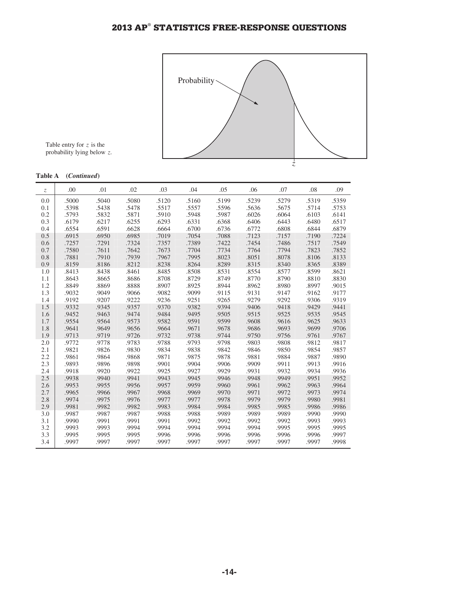

Table entry for *z* is the probability lying below *z*.

#### **Table A (***Continued***)**

| $\mathcal{Z}$ | .00   | .01   | .02   | .03   | .04   | .05   | .06   | .07   | .08   | .09   |
|---------------|-------|-------|-------|-------|-------|-------|-------|-------|-------|-------|
| 0.0           | .5000 | .5040 | .5080 | .5120 | .5160 | .5199 | .5239 | .5279 | .5319 | .5359 |
| 0.1           | .5398 | .5438 | .5478 | .5517 | .5557 | .5596 | .5636 | .5675 | .5714 | .5753 |
| 0.2           | .5793 | .5832 | .5871 | .5910 | .5948 | .5987 | .6026 | .6064 | .6103 | .6141 |
| 0.3           | .6179 | .6217 | .6255 | .6293 | .6331 | .6368 | .6406 | .6443 | .6480 | .6517 |
| 0.4           | .6554 | .6591 | .6628 | .6664 | .6700 | .6736 | .6772 | .6808 | .6844 | .6879 |
| 0.5           | .6915 | .6950 | .6985 | .7019 | .7054 | .7088 | .7123 | .7157 | .7190 | .7224 |
| 0.6           | .7257 | .7291 | .7324 | .7357 | .7389 | .7422 | .7454 | .7486 | .7517 | .7549 |
| 0.7           | .7580 | .7611 | .7642 | .7673 | .7704 | .7734 | .7764 | .7794 | .7823 | .7852 |
| 0.8           | .7881 | .7910 | .7939 | .7967 | .7995 | .8023 | .8051 | .8078 | .8106 | .8133 |
| 0.9           | .8159 | .8186 | .8212 | .8238 | .8264 | .8289 | .8315 | .8340 | .8365 | .8389 |
| 1.0           | .8413 | .8438 | .8461 | .8485 | .8508 | .8531 | .8554 | .8577 | .8599 | .8621 |
| 1.1           | .8643 | .8665 | .8686 | .8708 | .8729 | .8749 | .8770 | .8790 | .8810 | .8830 |
| 1.2           | .8849 | .8869 | .8888 | .8907 | .8925 | .8944 | .8962 | .8980 | .8997 | .9015 |
| 1.3           | .9032 | .9049 | .9066 | .9082 | .9099 | .9115 | .9131 | .9147 | .9162 | .9177 |
| 1.4           | .9192 | .9207 | .9222 | .9236 | .9251 | .9265 | .9279 | .9292 | .9306 | .9319 |
| 1.5           | .9332 | .9345 | .9357 | .9370 | .9382 | .9394 | .9406 | .9418 | .9429 | .9441 |
| 1.6           | .9452 | .9463 | .9474 | .9484 | .9495 | .9505 | .9515 | .9525 | .9535 | .9545 |
| 1.7           | .9554 | .9564 | .9573 | .9582 | .9591 | .9599 | .9608 | .9616 | .9625 | .9633 |
| 1.8           | .9641 | .9649 | .9656 | .9664 | .9671 | .9678 | .9686 | .9693 | .9699 | .9706 |
| 1.9           | .9713 | .9719 | .9726 | .9732 | .9738 | .9744 | .9750 | .9756 | .9761 | .9767 |
| 2.0           | .9772 | .9778 | .9783 | .9788 | .9793 | .9798 | .9803 | .9808 | .9812 | .9817 |
| 2.1           | .9821 | .9826 | .9830 | .9834 | .9838 | .9842 | .9846 | .9850 | .9854 | .9857 |
| 2.2           | .9861 | .9864 | .9868 | .9871 | .9875 | .9878 | .9881 | .9884 | .9887 | .9890 |
| 2.3           | .9893 | .9896 | .9898 | .9901 | .9904 | .9906 | .9909 | .9911 | .9913 | .9916 |
| 2.4           | .9918 | .9920 | .9922 | .9925 | .9927 | .9929 | .9931 | .9932 | .9934 | .9936 |
| 2.5           | .9938 | .9940 | .9941 | .9943 | .9945 | .9946 | .9948 | .9949 | .9951 | .9952 |
| 2.6           | .9953 | .9955 | .9956 | .9957 | .9959 | .9960 | .9961 | .9962 | .9963 | .9964 |
| 2.7           | .9965 | .9966 | .9967 | .9968 | .9969 | .9970 | .9971 | .9972 | .9973 | .9974 |
| 2.8           | .9974 | .9975 | .9976 | .9977 | .9977 | .9978 | .9979 | .9979 | .9980 | .9981 |
| 2.9           | .9981 | .9982 | .9982 | .9983 | .9984 | .9984 | .9985 | .9985 | .9986 | .9986 |
| 3.0           | .9987 | .9987 | .9987 | .9988 | .9988 | .9989 | .9989 | .9989 | .9990 | .9990 |
| 3.1           | .9990 | .9991 | .9991 | .9991 | .9992 | .9992 | .9992 | .9992 | .9993 | .9993 |
| 3.2           | .9993 | .9993 | .9994 | .9994 | .9994 | .9994 | .9994 | .9995 | .9995 | .9995 |
| 3.3           | .9995 | .9995 | .9995 | .9996 | .9996 | .9996 | .9996 | .9996 | .9996 | .9997 |
| 3.4           | .9997 | .9997 | .9997 | .9997 | .9997 | .9997 | .9997 | .9997 | .9997 | .9998 |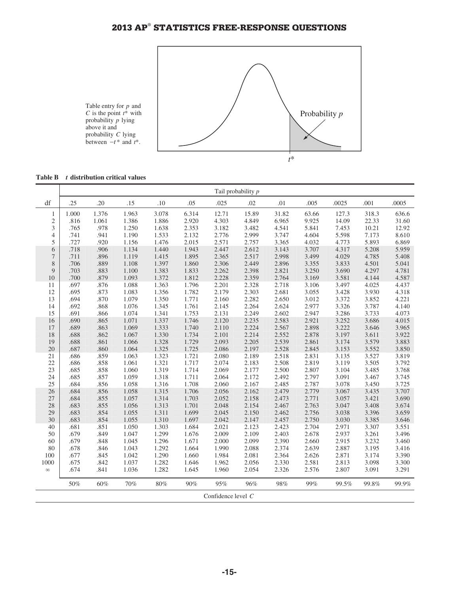

**Table B** *t* **distribution critical values**

|                | Tail probability p |              |                |                |                |                    |                |                |                |                |                |                |
|----------------|--------------------|--------------|----------------|----------------|----------------|--------------------|----------------|----------------|----------------|----------------|----------------|----------------|
| df             | .25                | .20          | .15            | .10            | .05            | .025               | .02            | .01            | .005           | .0025          | .001           | .0005          |
| 1              | 1.000              | 1.376        | 1.963          | 3.078          | 6.314          | 12.71              | 15.89          | 31.82          | 63.66          | 127.3          | 318.3          | 636.6          |
| $\sqrt{2}$     | .816               | 1.061        | 1.386          | 1.886          | 2.920          | 4.303              | 4.849          | 6.965          | 9.925          | 14.09          | 22.33          | 31.60          |
| 3              | .765               | .978         | 1.250          | 1.638          | 2.353          | 3.182              | 3.482          | 4.541          | 5.841          | 7.453          | 10.21          | 12.92          |
| $\overline{4}$ | .741               | .941         | 1.190          | 1.533          | 2.132          | 2.776              | 2.999          | 3.747          | 4.604          | 5.598          | 7.173          | 8.610          |
| 5              | .727               | .920         | 1.156          | 1.476          | 2.015          | 2.571              | 2.757          | 3.365          | 4.032          | 4.773          | 5.893          | 6.869          |
| 6              | .718               | .906         | 1.134          | 1.440          | 1.943          | 2.447              | 2.612          | 3.143          | 3.707          | 4.317          | 5.208          | 5.959          |
| $\overline{7}$ | .711               | .896         | 1.119          | 1.415          | 1.895          | 2.365              | 2.517          | 2.998          | 3.499          | 4.029          | 4.785          | 5.408          |
| 8              | .706               | .889         | 1.108          | 1.397          | 1.860          | 2.306              | 2.449          | 2.896          | 3.355          | 3.833          | 4.501          | 5.041          |
| 9              | .703               | .883         | 1.100          | 1.383          | 1.833          | 2.262              | 2.398          | 2.821          | 3.250          | 3.690          | 4.297          | 4.781          |
| 10             | .700               | .879         | 1.093          | 1.372          | 1.812          | 2.228              | 2.359          | 2.764          | 3.169          | 3.581          | 4.144          | 4.587          |
| 11             | .697               | .876         | 1.088          | 1.363          | 1.796          | 2.201              | 2.328          | 2.718          | 3.106          | 3.497          | 4.025          | 4.437          |
| 12             | .695               | .873         | 1.083          | 1.356          | 1.782          | 2.179              | 2.303          | 2.681          | 3.055          | 3.428          | 3.930          | 4.318          |
| 13             | .694               | .870         | 1.079          | 1.350          | 1.771          | 2.160              | 2.282          | 2.650          | 3.012          | 3.372          | 3.852          | 4.221          |
| 14             | .692               | .868         | 1.076          | 1.345          | 1.761          | 2.145              | 2.264          | 2.624          | 2.977          | 3.326          | 3.787          | 4.140          |
| 15             | .691               | .866         | 1.074          | 1.341          | 1.753          | 2.131              | 2.249          | 2.602          | 2.947          | 3.286          | 3.733          | 4.073          |
| 16             | .690               | .865         | 1.071          | 1.337          | 1.746          | 2.120              | 2.235          | 2.583          | 2.921          | 3.252          | 3.686          | 4.015          |
| 17             | .689               | .863         | 1.069          | 1.333          | 1.740          | 2.110              | 2.224          | 2.567          | 2.898          | 3.222          | 3.646          | 3.965          |
| 18             | .688               | .862         | 1.067          | 1.330          | 1.734          | 2.101              | 2.214          | 2.552          | 2.878          | 3.197          | 3.611          | 3.922          |
| 19             | .688               | .861         | 1.066          | 1.328          | 1.729          | 2.093              | 2.205          | 2.539          | 2.861          | 3.174          | 3.579          | 3.883          |
| 20<br>21       | .687               | .860         | 1.064          | 1.325          | 1.725          | 2.086              | 2.197          | 2.528          | 2.845          | 3.153          | 3.552          | 3.850          |
| 22             | .686<br>.686       | .859<br>.858 | 1.063<br>1.061 | 1.323<br>1.321 | 1.721<br>1.717 | 2.080<br>2.074     | 2.189<br>2.183 | 2.518<br>2.508 | 2.831<br>2.819 | 3.135<br>3.119 | 3.527<br>3.505 | 3.819<br>3.792 |
| 23             | .685               | .858         | 1.060          | 1.319          | 1.714          | 2.069              | 2.177          | 2.500          | 2.807          | 3.104          | 3.485          | 3.768          |
| 24             | .685               | .857         | 1.059          | 1.318          | 1.711          | 2.064              | 2.172          | 2.492          | 2.797          | 3.091          | 3.467          | 3.745          |
| 25             | .684               | .856         | 1.058          | 1.316          | 1.708          | 2.060              | 2.167          | 2.485          | 2.787          | 3.078          | 3.450          | 3.725          |
| 26             | .684               | .856         | 1.058          | 1.315          | 1.706          | 2.056              | 2.162          | 2.479          | 2.779          | 3.067          | 3.435          | 3.707          |
| 27             | .684               | .855         | 1.057          | 1.314          | 1.703          | 2.052              | 2.158          | 2.473          | 2.771          | 3.057          | 3.421          | 3.690          |
| 28             | .683               | .855         | 1.056          | 1.313          | 1.701          | 2.048              | 2.154          | 2.467          | 2.763          | 3.047          | 3.408          | 3.674          |
| 29             | .683               | .854         | 1.055          | 1.311          | 1.699          | 2.045              | 2.150          | 2.462          | 2.756          | 3.038          | 3.396          | 3.659          |
| 30             | .683               | .854         | 1.055          | 1.310          | 1.697          | 2.042              | 2.147          | 2.457          | 2.750          | 3.030          | 3.385          | 3.646          |
| 40             | .681               | .851         | 1.050          | 1.303          | 1.684          | 2.021              | 2.123          | 2.423          | 2.704          | 2.971          | 3.307          | 3.551          |
| 50             | .679               | .849         | 1.047          | 1.299          | 1.676          | 2.009              | 2.109          | 2.403          | 2.678          | 2.937          | 3.261          | 3.496          |
| 60             | .679               | .848         | 1.045          | 1.296          | 1.671          | 2.000              | 2.099          | 2.390          | 2.660          | 2.915          | 3.232          | 3.460          |
| 80             | .678               | .846         | 1.043          | 1.292          | 1.664          | 1.990              | 2.088          | 2.374          | 2.639          | 2.887          | 3.195          | 3.416          |
| 100            | .677               | .845         | 1.042          | 1.290          | 1.660          | 1.984              | 2.081          | 2.364          | 2.626          | 2.871          | 3.174          | 3.390          |
| 1000           | .675               | .842         | 1.037          | 1.282          | 1.646          | 1.962              | 2.056          | 2.330          | 2.581          | 2.813          | 3.098          | 3.300          |
| $\infty$       | .674               | .841         | 1.036          | 1.282          | 1.645          | 1.960              | 2.054          | 2.326          | 2.576          | 2.807          | 3.091          | 3.291          |
|                | 50%                | 60%          | 70%            | 80%            | 90%            | 95%                | 96%            | 98%            | 99%            | 99.5%          | 99.8%          | 99.9%          |
|                |                    |              |                |                |                | Confidence level C |                |                |                |                |                |                |